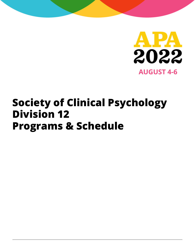

## **Society of Clinical Psychology Division 12 Programs & Schedule**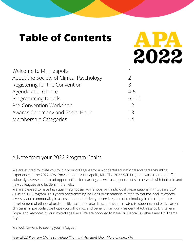## **Table of Contents**

| Welcome to Minneapolis                   |          |
|------------------------------------------|----------|
| About the Society of Clinical Psychology | 2        |
| Registering for the Convention           | 3        |
| Agenda at a Glance                       | $4 - 5$  |
| <b>Programming Details</b>               | $6 - 11$ |
| Pre-Convention Workshop                  | 12       |
| Awards Ceremony and Social Hour          | 13       |
| Membership Categories                    | 14       |

### A Note from your 2022 Program Chairs

We are excited to invite you to join your colleagues for a wonderful educational and career-building experience at the 2022 APA Convention in Minneapolis, MN. The 2022 SCP Program was created to offer culturally diverse and broad opportunities for learning, as well as opportunities to network with both old and new colleagues and leaders in the field.

M

2022

We are pleased to have high quality symposia, workshops, and individual presentations in this year's SCP (Division 12) Program. This year's programming includes presentations related to trauma and its effects, diversity and commonality in assessment and delivery of services, use of technology in clinical practice, development of ethnocultural sensitive scientific practices, and issues related to students and early-career clinicians. In particular, we hope you will join us and benefit from our Presidential Address by Dr. Kalyani Gopal and keynotes by our invited speakers. We are honored to have Dr. Debra Kawahara and Dr. Thema Bryant.

We look forward to seeing you in August!

*Your 2022 Program Chairs Dr. Fahad Khan and Assistant Chair Marc Chaney, MA*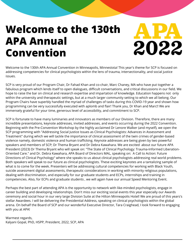## **Welcome to the 130th APA Annual Convention**

2022

Welcome to the 130th APA Annual Convention in Minneapolis, Minnestota! This year's theme for SCP is focused on addressing competencies for clinical psychologists within the lens of trauma, intersectionality, and social justice issues.

SCP is very proud of our Program Chair, Dr Fahad Khan and co-chair, Marc Chaney, MA who have put together a fabulous program which lends itself to open dialogues, difficult conversations, and critical discussions in our field. We hope to raise the bar on clinical and research expertise and impartation of knowledge. Education happens not only within the university and therapeutic settings, but at a much larger community setting to which we all belong. Our Program Chairs have superbly handled the myriad of challenges of tasks during this COVID-19 year and shown how programming can be very successfully executed with aplomb and flair! Thank you, Dr Khan and Marc!! We are immensely grateful for your time, generous level of accessibility, and commitment to SCP.

SCP is fortunate to have many luminaries and innovators as members of our Division. Therefore, there are many incredible presentations, keynote addresses, invited addresses, and events occurring during the 2022 Convention. Beginning with the Pre-Convention Workshop by the highly acclaimed Dr Lenore Walker (and myself), we open the SCP programming with "Addressing Social Justice Issues as Clinical Psychologists: Advances in Assessment and Treatment" during which we will tackle the importance of clinical assessment of the twin crimes of gender-based violence namely, domestic violence and human trafficking. Keynote addresses are being given by two powerful speakers and members of SCP; Dr Thema Bryant and Dr Debra Kawahara. We are excited about our future APA President (2023) Dr Thema Bryant who will speak on: "The State of Clinical Psychology: Trauma-Informed Liberation-Oriented Care." and Dr. Debra Kawahara, APA Board of Directors MAL, speaking on: A Call to Action: Future Directions of Clinical Psychology" where she speaks to us about clinical psychologists addressing real world problems. Both speakers will speak to our future as clinical psychologists. These exciting keynotes are a tantalizing sample of what is to come for the week. Presenters will be addressing cultural competencies for working with Black Youth, suicide assessment digital assessments, therapeutic considerations in working with minority religious populations, dealing with discrimination, and especially for our graduate students and ECPs, internships and training in competencies. Also, for ECPs and graduate students , we will again have our annual Speed Mentoring Event.

Perhaps the best part of attending APA is the opportunity to network with like-minded psychologists, engage in career building and developing relationships. Don't miss our exciting social events this year especially our Awards ceremony and social hour in our very large Division Suite at the Hilton Minneapolis Hotel! We are proud of this years's stellar Awardees. I will be delivering the Presidential Address, speaking on clinical psychologists within the global arena. On behalf the Board of SCP and our wonderful Executive Director, Tara Craighead, I look forward to engaging with you at APA!

Warmest regards, Kalyani Gopal, PhD, HSPP, President, 2022, SCP, APA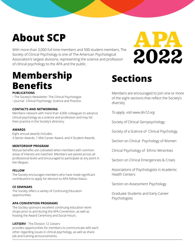## **About SCP**

With more than 3,000 full time members and 500 student members, The Society of Clinical Psychology is one of The American Psychological Association's largest divisions, representing the science and profession of clinical psychology to the APA and the public.

## **Membership expanding Sections Benefits**

### **PUBLICATIONS**

- The Society's Newsletter: The Clinical Psychologist
- Journal: Clinical Psychology: Science and Practice.

### **CONTACTS AND NETWORKING**

Members network with more than 4,000 colleagues to advance clinical psychology as a science and profession and may list their practice in the Society's directory.

### **AWARDS**

Eight annual awards includes: 4 Senior Awards, 1 Mid-Career Award, and 4 Student Awards.

### **MENTORSHIP PROGRAM**

Mutual benefits are cultivated when members with common areas of interest are matched. Members are paired across all professional levels and encouraged to participate at any point in the lifespan.

### **FELLOW**

The Society encourages members who have made significant contributions to apply for election to APA Fellow Status.

### **CE SEMINARS**

The Society offers a variety of Continuing Education opportunities.

### **APA CONVENTION PROGRAMS**

The Society sponsors excellent continuing education workshops prior to and during the APA Convention, as well as hosting the Award Ceremony and Social Hours.

### **LISTSERV** - The Division 12 Listserv

provides opportunities for members to communicate with each other regarding issues in clinical psychology, as well as share job and training announcements.



Members are encouraged to join one or more of the eight sections that reflect the Society's diversity.

*To apply, visit www.div12.org*

Society of Clinical Geropsychology

Society of a Science of Clinical Psychology

Section on Clinical Psychology of Women

Clinical Psychology of Ethnic Minorities

Section on Clinical Emergencies & Crises

Associations of Psychologists in Academic Health Centers

Section on Assessment Psychology

Graduate Students and Early-Career Psychologists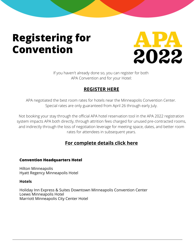## **Registering for Convention**



If you haven't already done so, you can register for both APA Convention and for your Hotel:

### **[REGISTER](https://convention.apa.org/pricing) HERE**

APA negotiated the best room rates for hotels near the Minneapolis Convention Center. Special rates are only guaranteed from April 26 through early July.

Not booking your stay through the official APA hotel reservation tool in the APA 2022 registration system impacts APA both directly, through attrition fees charged for unused pre-contracted rooms, and indirectly through the loss of negotiation leverage for meeting space, dates, and better room rates for attendees in subsequent years.

### **For [complete](https://convention.apa.org/attend/hotels) details click here**

### **Convention Headquarters Hotel**

Hilton Minneapolis Hyatt Regency Minneapolis Hotel

### **Hotels**

Holiday Inn Express & Suites Downtown Minneapolis Convention Center Loews Minneapolis Hotel Marriott Minneapolis City Center Hotel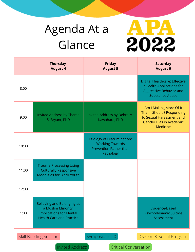# Agenda At a Glance



|                                                                             | <b>Thursday</b><br><b>August 4</b>                                                                                    | <b>Friday</b><br><b>August 5</b>                                                                           | <b>Saturday</b><br><b>August 6</b>                                                                                                   |  |
|-----------------------------------------------------------------------------|-----------------------------------------------------------------------------------------------------------------------|------------------------------------------------------------------------------------------------------------|--------------------------------------------------------------------------------------------------------------------------------------|--|
| 8:00                                                                        |                                                                                                                       |                                                                                                            | <b>Digital Healthcare: Effective</b><br>eHealth Applications for<br><b>Aggressive Behavior and</b><br><b>Substance Abuse</b>         |  |
| 9:00                                                                        | <b>Invited Address by Thema</b><br>S. Bryant, PhD                                                                     | Invited Address by Debra M.<br>Kawahara, PhD                                                               | Am I Making More Of It<br>Than I Should? Responding<br>to Sexual Harassment and<br><b>Gender Bias in Academic</b><br><b>Medicine</b> |  |
| 10:00                                                                       |                                                                                                                       | <b>Etiology of Discrimination:</b><br><b>Working Towards</b><br><b>Prevention Rather than</b><br>Pathology |                                                                                                                                      |  |
| 11:00                                                                       | <b>Trauma Processing Using</b><br><b>Culturally Responsive</b><br><b>Modalities for Black Youth</b>                   |                                                                                                            |                                                                                                                                      |  |
| 12:00                                                                       |                                                                                                                       |                                                                                                            |                                                                                                                                      |  |
| 1:00                                                                        | Believing and Belonging as<br>a Muslim Minority:<br><b>Implications for Mental</b><br><b>Health Care and Practice</b> |                                                                                                            | Evidence-Based<br>Psychodynamic Suicide<br>Assessment                                                                                |  |
| Symposium 2.0<br><b>Skill Building Session</b><br>Division & Social Program |                                                                                                                       |                                                                                                            |                                                                                                                                      |  |
| <b>Invited Address</b><br><b>Critical Conversation</b>                      |                                                                                                                       |                                                                                                            |                                                                                                                                      |  |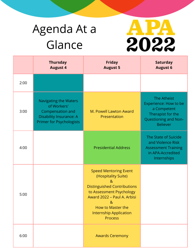# Agenda At a Glance



|      | <b>Thursday</b><br><b>August 4</b>                                                                                                   | <b>Friday</b><br><b>August 5</b>                                                                                                                                                                                                                                        | <b>Saturday</b><br><b>August 6</b>                                                                                         |
|------|--------------------------------------------------------------------------------------------------------------------------------------|-------------------------------------------------------------------------------------------------------------------------------------------------------------------------------------------------------------------------------------------------------------------------|----------------------------------------------------------------------------------------------------------------------------|
| 2:00 |                                                                                                                                      |                                                                                                                                                                                                                                                                         |                                                                                                                            |
| 3:00 | <b>Navigating the Waters</b><br>of Workers'<br>Compensation and<br><b>Disability Insurance: A</b><br><b>Primer for Psychologists</b> | M. Powell Lawton Award<br>Presentation                                                                                                                                                                                                                                  | The Atheist<br>Experience: How to be<br>a Competent<br>Therapist for the<br><b>Questioning and Non-</b><br><b>Believer</b> |
| 4:00 |                                                                                                                                      | <b>Presidential Address</b>                                                                                                                                                                                                                                             | The State of Suicide<br>and Violence Risk<br><b>Assessment Training</b><br>in APA-Accredited<br>Internships                |
| 5:00 |                                                                                                                                      | <b>Speed Mentoring Event</b><br>(Hospitality Suite)<br>8 <sub>k</sub><br><b>Distinguished Contributions</b><br>to Assessment Psychology<br>Award 2022 - Paul A. Arbisi<br>8 <sub>k</sub><br><b>How to Master the</b><br><b>Internship Application</b><br><b>Process</b> |                                                                                                                            |
| 6:00 |                                                                                                                                      | <b>Awards Ceremony</b>                                                                                                                                                                                                                                                  |                                                                                                                            |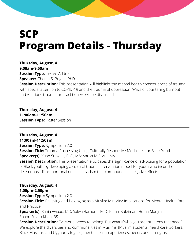## **SCP Program Details - Thursday**

**Thursday, August, 4 9:00am-9:50am Session Type: Invited Address Speaker:** Thema S. Bryant, PhD

**Session Description:** This presentation will highlight the mental health consequences of trauma with special attention to COVID-19 and the trauma of oppression. Ways of countering burnout and vicarious trauma for practitioners will be discussed.

**Thursday, August, 4 11:00am-11:50am Session Type: Poster Session** 

**Thursday, August, 4 11:00am-11:50am Session Type:** Symposium 2.0 **Session Title:** Trauma Processing Using Culturally Responsive Modalities for Black Youth **Speaker(s):** Xuan Stevens, PhD, MA; Aaron M Porte, MA

**Session Description:** This presentation elucidates the significance of advocating for a population of Black youth by developing a cultural trauma intervention model for youth who incur the deleterious, disproportional effects of racism that compounds its negative effects.

**Thursday, August, 4**

**1:00pm-2:50pm**

**Session Type: Symposium 2.0** 

**Session Title:** Believing and Belonging as a Muslim Minority: Implications for Mental Health Care and Practice

**Speaker(s):** Rania Awaad, MD; Salwa Barhumi, EdD; Kamal Suleiman; Huma Manjra; Shahd Fulath Khan, BS

**Session Description:** Everyone needs to belong. But what if who you are threatens that need? We explore the diversities and commonalities in Muslims' (Muslim students, healthcare workers, Black Muslims, and Uyghur refugees) mental health experiences, needs, and strengths.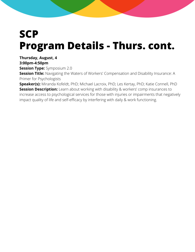## **SCP Program Details - Thurs. cont.**

**Thursday, August, 4**

**3:00pm-4:50pm**

**Session Type:** Symposium 2.0

**Session Title:** Navigating the Waters of Workers' Compensation and Disability Insurance: A Primer for Psychologists

**Speaker(s):** Miranda Kofeldt, PhD; Michael Lacroix, PhD; Les Kertay, PhD; Katie Connell, PhD **Session Description:** Learn about working with disability & workers' comp insurances to increase access to psychological services for those with injuries or impairments that negatively impact quality of life and self-efficacy by interfering with daily & work functioning.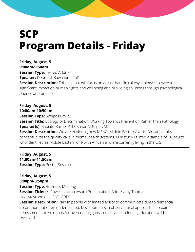## **SCP Program Details - Friday**

**Friday, August, 5 9:00am-9:50am Session Type: Invited Address Speaker:** Debra M. Kawahara, PhD **Session Description:** This keynote will focus on areas that clinical psychology can have a significant impact on human rights and wellbeing and providing solutions through psychological science and practice.

**Friday, August, 5 10:00am-10:50am Session Type: Symposium 2.0 Session Title:** Etiology of Discrimination: Working Towards Prevention Rather than Pathology **Speaker(s):** Rabiatu Barrie, PhD; Sahar Al-Najjar, MA **Session Description:** We are exploring how MENA (Middle Eastern/North African) adults conceptualize the quality care in mental health systems. Our study utilized a sample of 10 adults who identified as Middle Eastern or North African and are currently living in the U.S.

**Friday, August, 5 11:00am-11:50am Session Type: Poster Session** 

**Friday, August, 5 3:00pm-3:50pm Session Type: Business Meeting Session Title:** M. Powell Lawton Award Presentation, Address by Thomas Hadjistavropolous, PhD, ABPP

**Session Description:** Pain in people with limited ability to communicate due to dementia is common but often undertreated. Developments in observational approaches to pain assessment and solutions for overcoming gaps in clinician continuing education will be reviewed.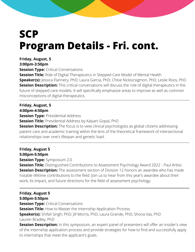## **SCP Program Details - Fri. cont.**

### **Friday, August, 5**

**3:00pm-3:50pm**

**Session Type: Critical Conversations** 

**Session Title:** Role of Digital Therapeutics in Stepped Care Model of Mental Health **Speaker(s):** Jessica Flannery, PhD; Laura Garcia, PhD; Chloe Nicksicsigmon, PhD; Leslie Roos, PhD **Session Description:** This critical conversations will discuss the role of digital therapeutics in the future of stepped care models. It will specifically emphasize areas to improve as well as common misconceptions of digital therapeutics.

**Friday, August, 5 4:00pm-4:50pm**

**Session Type: Presidential Address** 

**Session Title:** Presidential Address by Kalyani Gopal, PhD

**Session Description:** The focus is to view clinical psychologists as global citizens addressing patient care and academic training within the lens of the theoretical framework of intersectional relationships over one's lifespan and genetic load.

**Friday, August 5 5:00pm-5:50pm Session Type:** Symposium 2.0

**Session Title:** Distinguished Contributions to Assessment Psychology Award 2022 - Paul Arbisi **Session Description:** The assessment section of Division 12 honors an awardee who has made notable lifetime contributions to the field. Join us to hear from this year's awardee about their work, its impact, and future directions for the field of assessment psychology.

### **Friday, August 5 5:00pm-5:50pm**

**Session Type: Critical Conversations** 

**Session Title:** How to Master the Internship Application Process

**Speaker(s):** Shifali Singh, PhD; Jill Morris, PhD; Laura Grande, PhD; Shona Vas, PhD Lauren Bradley, PhD

**Session Description:** In this symposium, an expert panel of presenters will offer an insider's view of the internship application process and provide strategies for how to find and successfully apply to internships that meet the applicant's goals.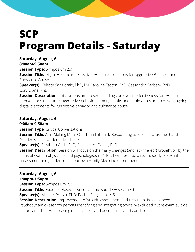## **SCP Program Details - Saturday**

### **Saturday, August, 6**

**8:00am-9:50am**

**Session Type: Symposium 2.0** 

**Session Title:** Digital Healthcare: Effective eHealth Applications for Aggressive Behavior and Substance Abuse

**Speaker(s):** Celeste Sangiorgio, PhD, MA Caroline Easton, PhD; Cassandra Berbary, PhD; Cory Crane, PhD

**Session Description:** This symposium presents findings on overall effectiveness for eHealth interventions that target aggressive behaviors among adults and adolescents and reviews ongoing digital treatments for aggressive behavior and substance abuse.

**Saturday, August, 6 9:00am-9:50am**

**Session Type: Critical Conversations** 

**Session Title:** Am I Making More Of It Than I Should? Responding to Sexual Harassment and Gender Bias in Academic Medicine

**Speaker(s):** Elizabeth Cash, PhD; Susan H McDaniel, PhD

**Session Description:** Session will focus on the many changes (and lack thereof) brought on by the influx of women physicians and psychologists in AHCs. I will describe a recent study of sexual harassment and gender bias in our own Family Medicine department.

**Saturday, August, 6 1:00pm-1:50pm Session Type: Symposium 2.0 Session Title:** Evidence-Based Psychodynamic Suicide Assessment **Speaker(s):** Michael Prazak, PhD; Rachel Bacigalupi, MS **Session Description:** Improvement of suicide assessment and treatment is a vital need. Psychodynamic research permits identifying and integrating typically-excluded but relevant suicide factors and theory, increasing effectiveness and decreasing liability and loss.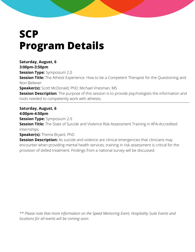## **SCP Program Details**

**Saturday, August, 6 3:00pm-3:50pm Session Type: Symposium 2.0 Session Title:** The Atheist Experience: How to be a Competent Therapist for the Questioning and Non-Believer **Speaker(s):** Scott McDonald, PhD; Michael Vriesman, MS

**Session Description**: The purpose of this session is to provide psychologists the information and tools needed to competently work with atheists.

**Saturday, August, 6 4:00pm-4:50pm Session Type:** Symposium 2.0 **Session Title:** The State of Suicide and Violence Risk Assessment Training in APA-Accredited Internships **Speaker(s):** Thema Bryant, PhD **Session Description:** As suicide and violence are clinical emergencies that clinicians may

encounter when providing mental health services, training in risk assessment is critical for the provision of skilled treatment. Findings from a national survey will be discussed.

*\*\* Please note that more information on the Speed Mentoring Event, Hospitality Suite Events and locations for all events will be coming soon.*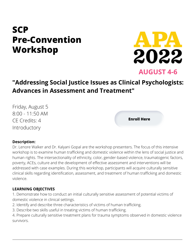### **SCP Pre-Convention Workshop**



**AUGUST 4-6**

### **"Addressing Social Justice Issues as Clinical Psychologists: Advances in Assessment and Treatment"**

Friday, August 5 8:00 - 11:50 AM CE Credits: 4 Introductory

**Enroll Here**

### **Description:**

Dr. Lenore Walker and Dr. Kalyani Gopal are the workshop presenters. The focus of this intensive workshop is to examine human trafficking and domestic violence within the lens of social justice and human rights. The intersectionality of ethnicity, color, gender-based violence, traumatogenic factors, poverty, ACEs, culture and the development of effective assessment and interventions will be addressed with case examples. During this workshop, participants will acquire culturally sensitive clinical skills regarding identification, assessment, and treatment of human trafficking and domestic violence.

### **LEARNING OBJECTIVES**

1. Demonstrate how to conduct an initial culturally sensitive assessment of potential victims of domestic violence in clinical settings.

- 2. Identify and describe three characteristics of victims of human trafficking.
- 3. Describe two skills useful in treating victims of human trafficking.

4. Prepare culturally sensitive treatment plans for trauma symptoms observed in domestic violence survivors.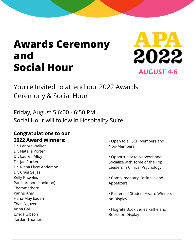## **Awards Ceremony and Social Hour AUGUST 4-6**



You're Invited to attend our 2022 Awards Ceremony & Social Hour

Friday, August 5 6:00 - 6:50 PM Social Hour will follow in Hospitality Suite

### **Congratulations to our 2022 Award Winners:**

Dr. Lenore Walker Dr. Natalie Porter Dr. Lauren Alloy Dr. Jae Puckett Dr. Riana Elyse Anderson Dr. Craig Seijas Kelly Knowles Patcharapon (Looknoo) **Thammathorn** Pannu Khin Hana-May Eadeh Than Nguyen Anna Gai Lynda Gibson Jordan Thomas

• Open to all SCP Members and Non-Members

• Opportunity to Network and Socialize with some of the Top Leaders in Clinical Psychology

• Complimentary Cocktails and Appetizers

• Posters of Student Award Winners on Display

• Hogrefe Book Series Raffle and Books on Display